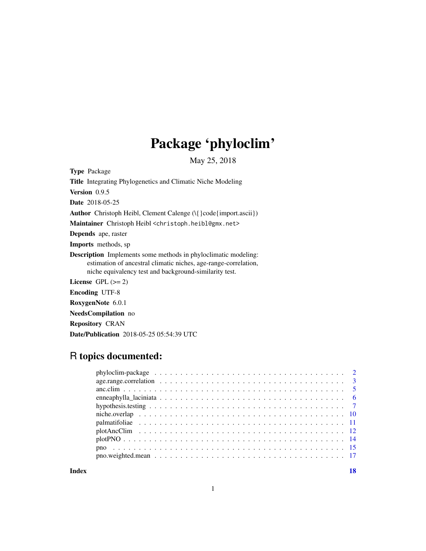## Package 'phyloclim'

May 25, 2018

<span id="page-0-0"></span>Type Package

Title Integrating Phylogenetics and Climatic Niche Modeling Version 0.9.5 Date 2018-05-25 Author Christoph Heibl, Clement Calenge (\{ } code{import.ascii}) Maintainer Christoph Heibl <christoph.heibl@gmx.net> Depends ape, raster Imports methods, sp Description Implements some methods in phyloclimatic modeling: estimation of ancestral climatic niches, age-range-correlation, niche equivalency test and background-similarity test. License GPL  $(>= 2)$ Encoding UTF-8 RoxygenNote 6.0.1 NeedsCompilation no Repository CRAN

## R topics documented:

Date/Publication 2018-05-25 05:54:39 UTC

**Index** 2008 **[18](#page-17-0)**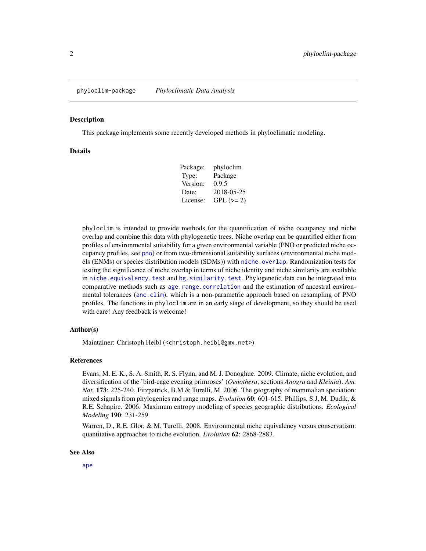#### <span id="page-1-0"></span>Description

This package implements some recently developed methods in phyloclimatic modeling.

#### Details

| Package: | phyloclim   |
|----------|-------------|
| Type:    | Package     |
| Version: | 0.9.5       |
| Date:    | 2018-05-25  |
| License: | $GPL (= 2)$ |

phyloclim is intended to provide methods for the quantification of niche occupancy and niche overlap and combine this data with phylogenetic trees. Niche overlap can be quantified either from profiles of environmental suitability for a given environmental variable (PNO or predicted niche occupancy profiles, see [pno](#page-14-1)) or from two-dimensional suitability surfaces (environmental niche models (ENMs) or species distribution models (SDMs)) with [niche.overlap](#page-9-1). Randomization tests for testing the significance of niche overlap in terms of niche identity and niche similarity are available in [niche.equivalency.test](#page-6-1) and [bg.similarity.test](#page-6-1). Phylogenetic data can be integrated into comparative methods such as [age.range.correlation](#page-2-1) and the estimation of ancestral environmental tolerances ([anc.clim](#page-4-1)), which is a non-parametric approach based on resampling of PNO profiles. The functions in phyloclim are in an early stage of development, so they should be used with care! Any feedback is welcome!

## Author(s)

Maintainer: Christoph Heibl (<christoph.heibl@gmx.net>)

#### References

Evans, M. E. K., S. A. Smith, R. S. Flynn, and M. J. Donoghue. 2009. Climate, niche evolution, and diversification of the 'bird-cage evening primroses' (*Oenothera*, sections *Anogra* and *Kleinia*). *Am. Nat.* 173: 225-240. Fitzpatrick, B.M & Turelli, M. 2006. The geography of mammalian speciation: mixed signals from phylogenies and range maps. *Evolution* 60: 601-615. Phillips, S.J, M. Dudik, & R.E. Schapire. 2006. Maximum entropy modeling of species geographic distributions. *Ecological Modeling* 190: 231-259.

Warren, D., R.E. Glor, & M. Turelli. 2008. Environmental niche equivalency versus conservatism: quantitative approaches to niche evolution. *Evolution* 62: 2868-2883.

#### See Also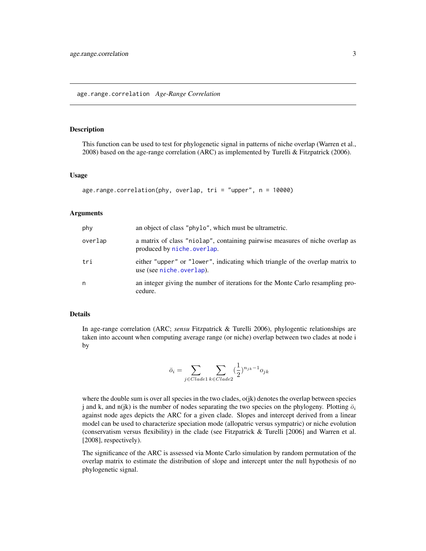#### <span id="page-2-1"></span><span id="page-2-0"></span>Description

This function can be used to test for phylogenetic signal in patterns of niche overlap (Warren et al., 2008) based on the age-range correlation (ARC) as implemented by Turelli & Fitzpatrick (2006).

#### Usage

```
age.range.correlation(phy, overlap, tri = "upper", n = 10000)
```
#### **Arguments**

| phy     | an object of class "phylo", which must be ultrametric.                                                     |
|---------|------------------------------------------------------------------------------------------------------------|
| overlap | a matrix of class "niolap", containing pairwise measures of niche overlap as<br>produced by niche.overlap. |
| tri     | either "upper" or "lower", indicating which triangle of the overlap matrix to<br>use (see niche.overlap).  |
| n       | an integer giving the number of iterations for the Monte Carlo resampling pro-<br>cedure.                  |

## Details

In age-range correlation (ARC; *sensu* Fitzpatrick & Turelli 2006), phylogentic relationships are taken into account when computing average range (or niche) overlap between two clades at node i by

$$
\bar{o}_i = \sum_{j \in Clade1} \sum_{k \in Clade2} (\frac{1}{2})^{n_{jk} - 1} o_{jk}
$$

 $\overline{1}$ 

where the double sum is over all species in the two clades,  $o(ik)$  denotes the overlap between species j and k, and n(jk) is the number of nodes separating the two species on the phylogeny. Plotting  $\bar{o}_i$ against node ages depicts the ARC for a given clade. Slopes and intercept derived from a linear model can be used to characterize speciation mode (allopatric versus sympatric) or niche evolution (conservatism versus flexibility) in the clade (see Fitzpatrick & Turelli [2006] and Warren et al. [2008], respectively).

The significance of the ARC is assessed via Monte Carlo simulation by random permutation of the overlap matrix to estimate the distribution of slope and intercept unter the null hypothesis of no phylogenetic signal.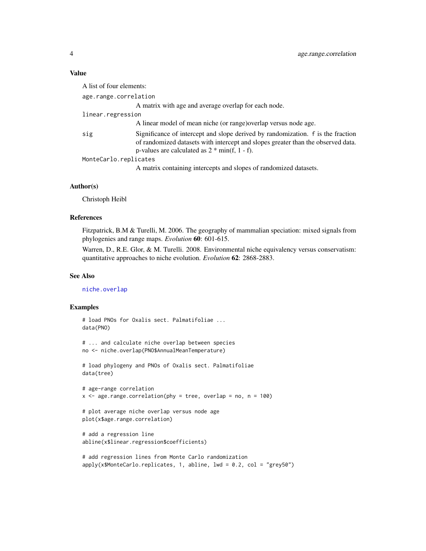#### <span id="page-3-0"></span>Value

| A list of four elements: |                                                                                                                                                                                                                         |  |
|--------------------------|-------------------------------------------------------------------------------------------------------------------------------------------------------------------------------------------------------------------------|--|
| age.range.correlation    |                                                                                                                                                                                                                         |  |
|                          | A matrix with age and average overlap for each node.                                                                                                                                                                    |  |
| linear.regression        |                                                                                                                                                                                                                         |  |
|                          | A linear model of mean niche (or range) overlap versus node age.                                                                                                                                                        |  |
| sig                      | Significance of intercept and slope derived by randomization. f is the fraction<br>of randomized datasets with intercept and slopes greater than the observed data.<br>p-values are calculated as $2 * min(f, 1 - f)$ . |  |
| MonteCarlo.replicates    |                                                                                                                                                                                                                         |  |
|                          | A matrix containing intercepts and slopes of randomized datasets.                                                                                                                                                       |  |

#### Author(s)

Christoph Heibl

## References

Fitzpatrick, B.M & Turelli, M. 2006. The geography of mammalian speciation: mixed signals from phylogenies and range maps. *Evolution* 60: 601-615.

Warren, D., R.E. Glor, & M. Turelli. 2008. Environmental niche equivalency versus conservatism: quantitative approaches to niche evolution. *Evolution* 62: 2868-2883.

## See Also

[niche.overlap](#page-9-1)

## Examples

```
# load PNOs for Oxalis sect. Palmatifoliae ...
data(PNO)
# ... and calculate niche overlap between species
```

```
no <- niche.overlap(PNO$AnnualMeanTemperature)
```

```
# load phylogeny and PNOs of Oxalis sect. Palmatifoliae
data(tree)
```

```
# age-range correlation
x \leq - age.range.correlation(phy = tree, overlap = no, n = 100)
```

```
# plot average niche overlap versus node age
plot(x$age.range.correlation)
```

```
# add a regression line
abline(x$linear.regression$coefficients)
```

```
# add regression lines from Monte Carlo randomization
apply(x$MonteCarlo.replicates, 1, abline, lwd = 0.2, col = "grey50")
```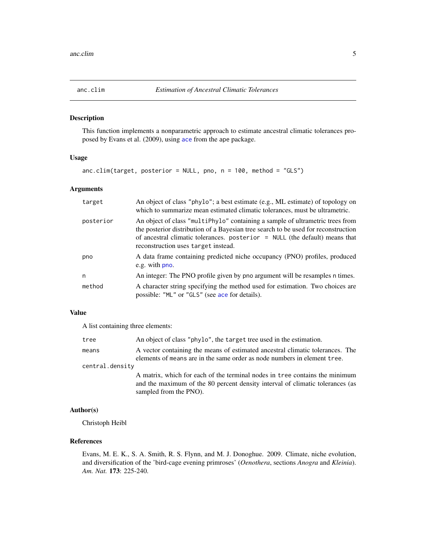<span id="page-4-1"></span><span id="page-4-0"></span>

#### Description

This function implements a nonparametric approach to estimate ancestral climatic tolerances proposed by Evans et al. (2009), using [ace](#page-0-0) from the ape package.

## Usage

anc.clim(target, posterior = NULL, pno, n = 100, method = "GLS")

## Arguments

| target    | An object of class "phylo"; a best estimate (e.g., ML estimate) of topology on<br>which to summarize mean estimated climatic tolerances, must be ultrametric.                                                                                                                               |
|-----------|---------------------------------------------------------------------------------------------------------------------------------------------------------------------------------------------------------------------------------------------------------------------------------------------|
| posterior | An object of class "multiPhylo" containing a sample of ultrametric trees from<br>the posterior distribution of a Bayesian tree search to be used for reconstruction<br>of ancestral climatic tolerances. posterior $=$ NULL (the default) means that<br>reconstruction uses target instead. |
| pno       | A data frame containing predicted niche occupancy (PNO) profiles, produced<br>e.g. with pno.                                                                                                                                                                                                |
| n         | An integer: The PNO profile given by pno argument will be resamples n times.                                                                                                                                                                                                                |
| method    | A character string specifying the method used for estimation. Two choices are<br>possible: "ML" or "GLS" (see ace for details).                                                                                                                                                             |

## Value

A list containing three elements:

| tree            | An object of class "phylo", the target tree used in the estimation.                                                                                                                    |
|-----------------|----------------------------------------------------------------------------------------------------------------------------------------------------------------------------------------|
| means           | A vector containing the means of estimated ancestral climatic tolerances. The<br>elements of means are in the same order as node numbers in element tree.                              |
| central.density |                                                                                                                                                                                        |
|                 | A matrix, which for each of the terminal nodes in tree contains the minimum<br>and the maximum of the 80 percent density interval of climatic tolerances (as<br>sampled from the PNO). |

## Author(s)

Christoph Heibl

## References

Evans, M. E. K., S. A. Smith, R. S. Flynn, and M. J. Donoghue. 2009. Climate, niche evolution, and diversification of the 'bird-cage evening primroses' (*Oenothera*, sections *Anogra* and *Kleinia*). *Am. Nat.* 173: 225-240.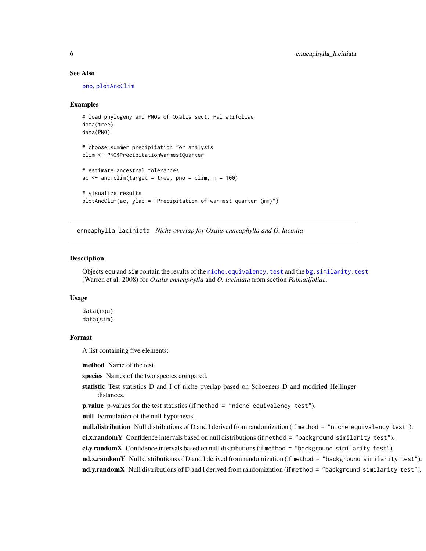#### See Also

[pno](#page-14-1), [plotAncClim](#page-11-1)

#### Examples

```
# load phylogeny and PNOs of Oxalis sect. Palmatifoliae
data(tree)
data(PNO)
# choose summer precipitation for analysis
clim <- PNO$PrecipitationWarmestQuarter
# estimate ancestral tolerances
ac \leq -\text{anc.dim}(\text{target} = \text{tree}, \text{ pro} = \text{clip}, \text{ n} = 100)# visualize results
plotAncClim(ac, ylab = "Precipitation of warmest quarter (mm)")
```
enneaphylla\_laciniata *Niche overlap for Oxalis enneaphylla and O. lacinita*

#### Description

Objects equ and sim contain the results of the [niche.equivalency.test](#page-6-1) and the [bg.similarity.test](#page-6-1) (Warren et al. 2008) for *Oxalis enneaphylla* and *O. laciniata* from section *Palmatifoliae*.

#### Usage

data(equ) data(sim)

#### Format

A list containing five elements:

method Name of the test.

species Names of the two species compared.

statistic Test statistics D and I of niche overlap based on Schoeners D and modified Hellinger distances.

```
p.value p-values for the test statistics (if method = "niche equivalency test").
```
null Formulation of the null hypothesis.

null.distribution Null distributions of D and I derived from randomization (if method = "niche equivalency test").

ci.x.randomY Confidence intervals based on null distributions (if method = "background similarity test").

ci.y.randomX Confidence intervals based on null distributions (if method = "background similarity test").

nd.x.randomY Null distributions of D and I derived from randomization (if method = "background similarity test"). nd.y.randomX Null distributions of D and I derived from randomization (if method = "background similarity test").

<span id="page-5-0"></span>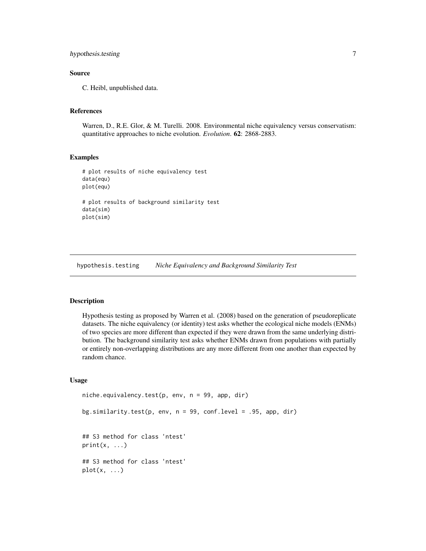## <span id="page-6-0"></span>hypothesis.testing 7

## Source

C. Heibl, unpublished data.

## References

Warren, D., R.E. Glor, & M. Turelli. 2008. Environmental niche equivalency versus conservatism: quantitative approaches to niche evolution. *Evolution*. 62: 2868-2883.

#### Examples

```
# plot results of niche equivalency test
data(equ)
plot(equ)
# plot results of background similarity test
data(sim)
plot(sim)
```
hypothesis.testing *Niche Equivalency and Background Similarity Test*

#### <span id="page-6-1"></span>Description

Hypothesis testing as proposed by Warren et al. (2008) based on the generation of pseudoreplicate datasets. The niche equivalency (or identity) test asks whether the ecological niche models (ENMs) of two species are more different than expected if they were drawn from the same underlying distribution. The background similarity test asks whether ENMs drawn from populations with partially or entirely non-overlapping distributions are any more different from one another than expected by random chance.

## Usage

```
niche.equivalency.test(p, env, n = 99, app, dir)
bg.similarity.test(p, env, n = 99, conf.level = .95, app, dir)
## S3 method for class 'ntest'
print(x, \ldots)## S3 method for class 'ntest'
plot(x, \ldots)
```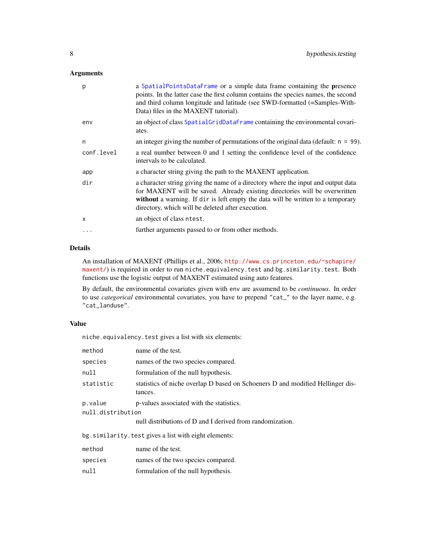## <span id="page-7-0"></span>Arguments

| p          | a SpatialPointsDataFrame or a simple data frame containing the presence<br>points. In the latter case the first column contains the species names, the second<br>and third column longitude and latitude (see SWD-formatted (=Samples-With-<br>Data) files in the MAXENT tutorial).                     |
|------------|---------------------------------------------------------------------------------------------------------------------------------------------------------------------------------------------------------------------------------------------------------------------------------------------------------|
| env        | an object of class SpatialGridDataFrame containing the environmental covari-<br>ates.                                                                                                                                                                                                                   |
| n          | an integer giving the number of permutations of the original data (default: $n = 99$ ).                                                                                                                                                                                                                 |
| conf.level | a real number between 0 and 1 setting the confidence level of the confidence<br>intervals to be calculated.                                                                                                                                                                                             |
| app        | a character string giving the path to the MAXENT application.                                                                                                                                                                                                                                           |
| dir        | a character string giving the name of a directory where the input and output data<br>for MAXENT will be saved. Already existing directories will be overwritten<br>without a warning. If dir is left empty the data will be written to a temporary<br>directory, which will be deleted after execution. |
| X          | an object of class ntest.                                                                                                                                                                                                                                                                               |
| $\cdots$   | further arguments passed to or from other methods.                                                                                                                                                                                                                                                      |
|            |                                                                                                                                                                                                                                                                                                         |

## Details

An installation of MAXENT (Phillips et al., 2006; [http://www.cs.princeton.edu/~schapire/](http://www.cs.princeton.edu/~schapire/maxent/) [maxent/](http://www.cs.princeton.edu/~schapire/maxent/)) is required in order to run niche.equivalency.test and bg.similarity.test. Both functions use the logistic output of MAXENT estimated using auto features.

By default, the environmental covariates given with env are assumend to be *continuous*. In order to use *categorical* environmental covariates, you have to prepend "cat\_" to the layer name, e.g. "cat\_landuse".

## Value

niche.equivalency.test gives a list with six elements:

| method                                               | name of the test.                                                                         |  |
|------------------------------------------------------|-------------------------------------------------------------------------------------------|--|
| species                                              | names of the two species compared.                                                        |  |
| null                                                 | formulation of the null hypothesis.                                                       |  |
| statistic                                            | statistics of niche overlap D based on Schoeners D and modified Hellinger dis-<br>tances. |  |
| p.value<br>null.distribution                         | p-values associated with the statistics.                                                  |  |
|                                                      | null distributions of D and I derived from randomization.                                 |  |
| bg.similarity.test gives a list with eight elements: |                                                                                           |  |
| method                                               | name of the test.                                                                         |  |
| species                                              | names of the two species compared.                                                        |  |
|                                                      |                                                                                           |  |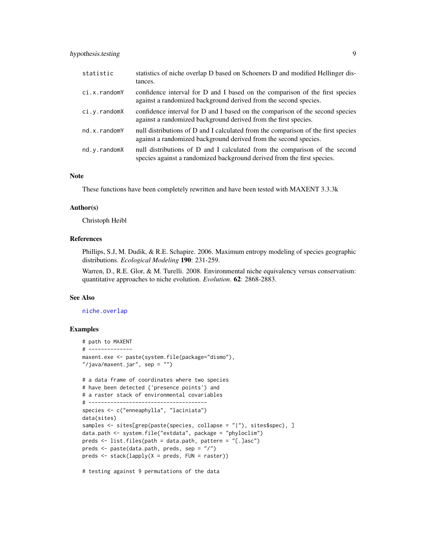## <span id="page-8-0"></span>hypothesis.testing 9

| statistic    | statistics of niche overlap D based on Schoeners D and modified Hellinger dis-<br>tances.                                                             |
|--------------|-------------------------------------------------------------------------------------------------------------------------------------------------------|
| ci.x.randomY | confidence interval for D and I based on the comparison of the first species<br>against a randomized background derived from the second species.      |
| ci.y.randomX | confidence interval for D and I based on the comparison of the second species<br>against a randomized background derived from the first species.      |
| nd.x.randomY | null distributions of D and I calculated from the comparison of the first species<br>against a randomized background derived from the second species. |
| nd.v.randomX | null distributions of D and I calculated from the comparison of the second<br>species against a randomized background derived from the first species. |

#### Note

These functions have been completely rewritten and have been tested with MAXENT 3.3.3k

#### Author(s)

Christoph Heibl

#### References

Phillips, S.J, M. Dudik, & R.E. Schapire. 2006. Maximum entropy modeling of species geographic distributions. *Ecological Modeling* 190: 231-259.

Warren, D., R.E. Glor, & M. Turelli. 2008. Environmental niche equivalency versus conservatism: quantitative approaches to niche evolution. *Evolution*. 62: 2868-2883.

#### See Also

#### [niche.overlap](#page-9-1)

## Examples

```
# path to MAXENT
# --------------
maxent.exe <- paste(system.file(package="dismo"),
"/java/maxent.jar", sep = "")
# a data frame of coordinates where two species
# have been detected ('presence points') and
# a raster stack of environmental covariables
# --------------------------------------
species <- c("enneaphylla", "laciniata")
data(sites)
samples <- sites[grep(paste(species, collapse = "|"), sites$spec), ]
data.path <- system.file("extdata", package = "phyloclim")
preds <- list.files(path = data.path, pattern = "[.]asc")
preds <- paste(data.path, preds, sep = "/")
preds <- stack(lapply(X = preds, FUN = raster))
```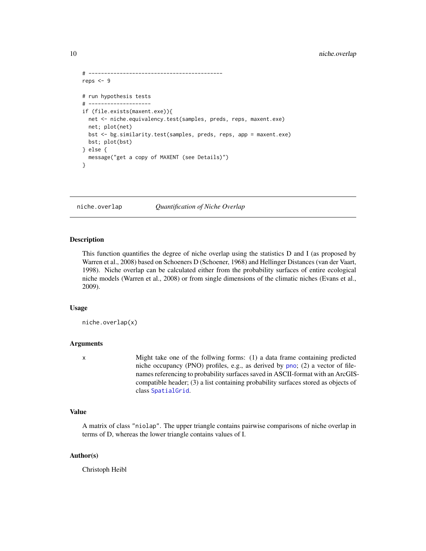```
# -------------------------------------------
reps <-9# run hypothesis tests
# --------------------
if (file.exists(maxent.exe)){
 net <- niche.equivalency.test(samples, preds, reps, maxent.exe)
 net; plot(net)
 bst <- bg.similarity.test(samples, preds, reps, app = maxent.exe)
 bst; plot(bst)
} else {
 message("get a copy of MAXENT (see Details)")
}
```
<span id="page-9-1"></span>niche.overlap *Quantification of Niche Overlap*

#### Description

This function quantifies the degree of niche overlap using the statistics D and I (as proposed by Warren et al., 2008) based on Schoeners D (Schoener, 1968) and Hellinger Distances (van der Vaart, 1998). Niche overlap can be calculated either from the probability surfaces of entire ecological niche models (Warren et al., 2008) or from single dimensions of the climatic niches (Evans et al., 2009).

#### Usage

```
niche.overlap(x)
```
#### Arguments

x Might take one of the follwing forms: (1) a data frame containing predicted niche occupancy (PNO) profiles, e.g., as derived by [pno](#page-14-1); (2) a vector of filenames referencing to probability surfaces saved in ASCII-format with an ArcGIScompatible header; (3) a list containing probability surfaces stored as objects of class [SpatialGrid](#page-0-0).

#### Value

A matrix of class "niolap". The upper triangle contains pairwise comparisons of niche overlap in terms of D, whereas the lower triangle contains values of I.

#### Author(s)

Christoph Heibl

<span id="page-9-0"></span>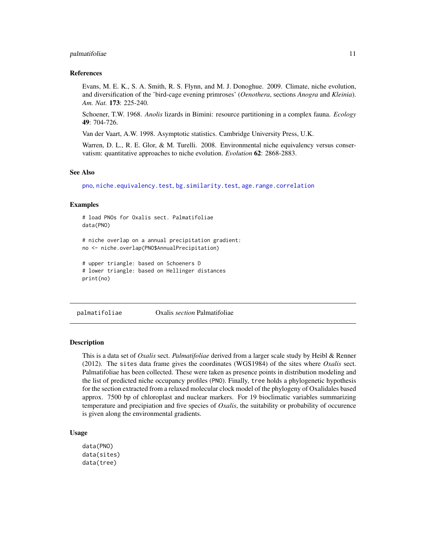#### <span id="page-10-0"></span>palmatifoliae 11

#### References

Evans, M. E. K., S. A. Smith, R. S. Flynn, and M. J. Donoghue. 2009. Climate, niche evolution, and diversification of the 'bird-cage evening primroses' (*Oenothera*, sections *Anogra* and *Kleinia*). *Am. Nat.* 173: 225-240.

Schoener, T.W. 1968. *Anolis* lizards in Bimini: resource partitioning in a complex fauna. *Ecology* 49: 704-726.

Van der Vaart, A.W. 1998. Asymptotic statistics. Cambridge University Press, U.K.

Warren, D. L., R. E. Glor, & M. Turelli. 2008. Environmental niche equivalency versus conservatism: quantitative approaches to niche evolution. *Evolution* 62: 2868-2883.

#### See Also

[pno](#page-14-1), [niche.equivalency.test](#page-6-1), [bg.similarity.test](#page-6-1), [age.range.correlation](#page-2-1)

#### Examples

```
# load PNOs for Oxalis sect. Palmatifoliae
data(PNO)
# niche overlap on a annual precipitation gradient:
no <- niche.overlap(PNO$AnnualPrecipitation)
```

```
# upper triangle: based on Schoeners D
# lower triangle: based on Hellinger distances
print(no)
```
palmatifoliae Oxalis *section* Palmatifoliae

#### Description

This is a data set of *Oxalis* sect. *Palmatifoliae* derived from a larger scale study by Heibl & Renner (2012). The sites data frame gives the coordinates (WGS1984) of the sites where *Oxalis* sect. Palmatifoliae has been collected. These were taken as presence points in distribution modeling and the list of predicted niche occupancy profiles (PNO). Finally, tree holds a phylogenetic hypothesis for the section extracted from a relaxed molecular clock model of the phylogeny of Oxalidales based approx. 7500 bp of chloroplast and nuclear markers. For 19 bioclimatic variables summarizing temperature and precipiation and five species of *Oxalis*, the suitability or probability of occurence is given along the environmental gradients.

#### Usage

```
data(PNO)
data(sites)
data(tree)
```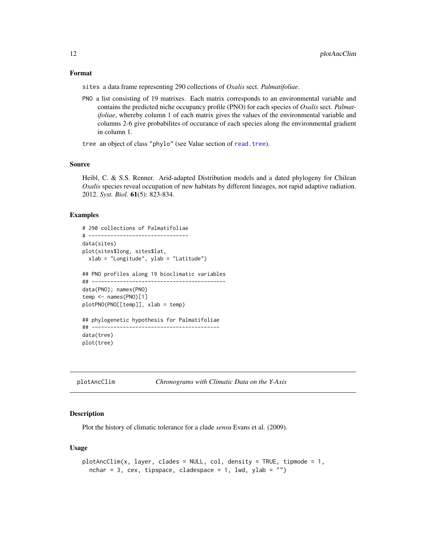#### <span id="page-11-0"></span>Format

sites a data frame representing 290 collections of *Oxalis* sect. *Palmatifoliae*.

PNO a list consisting of 19 matrixes. Each matrix corresponds to an environmental variable and contains the predicted niche occupancy profile (PNO) for each species of *Oxalis* sect. *Palmatifoliae*, whereby column 1 of each matrix gives the values of the environmental variable and columns 2-6 give probabilites of occurance of each species along the environmental gradient in column 1.

tree an object of class "phylo" (see Value section of [read.tree](#page-0-0)).

## Source

Heibl, C. & S.S. Renner. Arid-adapted Distribution models and a dated phylogeny for Chilean *Oxalis* species reveal occupation of new habitats by different lineages, not rapid adaptive radiation. 2012. *Syst. Biol.* 61(5): 823-834.

#### Examples

```
# 290 collections of Palmatifoliae
# --------------------------------
data(sites)
plot(sites$long, sites$lat,
 xlab = "Longitude", ylab = "Latitude")
## PNO profiles along 19 bioclimatic variables
## -------------------------------------------
data(PNO); names(PNO)
temp <- names(PNO)[1]
plotPNO(PNO[[temp]], xlab = temp)
## phylogenetic hypothesis for Palmatifoliae
## -----------------------------------------
data(tree)
plot(tree)
```

```
plotAncClim Chronograms with Climatic Data on the Y-Axis
```
## Description

Plot the history of climatic tolerance for a clade *sensu* Evans et al. (2009).

#### Usage

```
plotAncClim(x, layer, clades = NULL, col, density = TRUE, tipmode = 1,nchar = 3, cex, tipspace, cladespace = 1, lwd, ylab = "")
```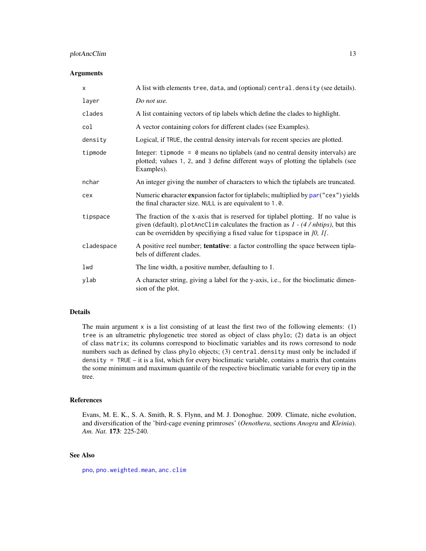## <span id="page-12-0"></span>plotAncClim 13

#### Arguments

| X          | A list with elements tree, data, and (optional) central. density (see details).                                                                                                                                                                           |
|------------|-----------------------------------------------------------------------------------------------------------------------------------------------------------------------------------------------------------------------------------------------------------|
| layer      | Do not use.                                                                                                                                                                                                                                               |
| clades     | A list containing vectors of tip labels which define the clades to highlight.                                                                                                                                                                             |
| col        | A vector containing colors for different clades (see Examples).                                                                                                                                                                                           |
| density    | Logical, if TRUE, the central density intervals for recent species are plotted.                                                                                                                                                                           |
| tipmode    | Integer: tipmode = $\theta$ means no tiplabels (and no central density intervals) are<br>plotted; values 1, 2, and 3 define different ways of plotting the tiplabels (see<br>Examples).                                                                   |
| nchar      | An integer giving the number of characters to which the tiplabels are truncated.                                                                                                                                                                          |
| cex        | Numeric character expansion factor for tiplabels; multiplied by par("cex") yields<br>the final character size. NULL is are equivalent to 1.0.                                                                                                             |
| tipspace   | The fraction of the x-axis that is reserved for tiplabel plotting. If no value is<br>given (default), plotAncClim calculates the fraction as $1 - (4 / nbtips)$ , but this<br>can be overridden by specifying a fixed value for tipspace in $10$ , $11$ . |
| cladespace | A positive reel number; tentative: a factor controlling the space between tipla-<br>bels of different clades.                                                                                                                                             |
| lwd        | The line width, a positive number, defaulting to 1.                                                                                                                                                                                                       |
| ylab       | A character string, giving a label for the y-axis, i.e., for the bioclimatic dimen-<br>sion of the plot.                                                                                                                                                  |

#### Details

The main argument  $x$  is a list consisting of at least the first two of the following elements: (1) tree is an ultrametric phylogenetic tree stored as object of class phylo; (2) data is an object of class matrix; its columns correspond to bioclimatic variables and its rows corresond to node numbers such as defined by class phylo objects; (3) central.density must only be included if density = TRUE – it is a list, which for every bioclimatic variable, contains a matrix that contains the some minimum and maximum quantile of the respective bioclimatic variable for every tip in the tree.

#### References

Evans, M. E. K., S. A. Smith, R. S. Flynn, and M. J. Donoghue. 2009. Climate, niche evolution, and diversification of the 'bird-cage evening primroses' (*Oenothera*, sections *Anogra* and *Kleinia*). *Am. Nat.* 173: 225-240.

#### See Also

[pno](#page-14-1), [pno.weighted.mean](#page-16-1), [anc.clim](#page-4-1)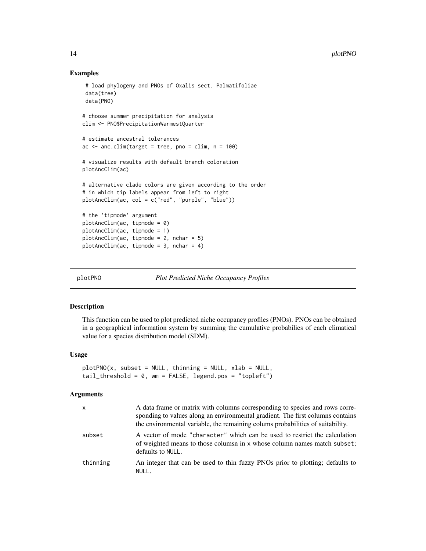#### Examples

```
# load phylogeny and PNOs of Oxalis sect. Palmatifoliae
 data(tree)
 data(PNO)
# choose summer precipitation for analysis
clim <- PNO$PrecipitationWarmestQuarter
# estimate ancestral tolerances
ac \leq -\text{anc.dim}(\text{target} = \text{tree}, \text{ pro} = \text{clip}, \text{ n} = 100)# visualize results with default branch coloration
plotAncClim(ac)
# alternative clade colors are given according to the order
# in which tip labels appear from left to right
plotAncClim(ac, col = c("red", "purple", "blue"))
# the 'tipmode' argument
plotAncClim(ac, tipmode = 0)
plotAncClim(ac, tipmode = 1)
plotAncClim(ac, tipmode = 2, nchar = 5)
plotAncClim(ac, tipmode = 3, nchar = 4)
```
plotPNO *Plot Predicted Niche Occupancy Profiles*

#### Description

This function can be used to plot predicted niche occupancy profiles (PNOs). PNOs can be obtained in a geographical information system by summing the cumulative probabilies of each climatical value for a species distribution model (SDM).

#### Usage

```
plotPNO(x, subset = NULL, thinning = NULL, xlab = NULL,tail_{\text{threshold}} = 0, wm = FALSE, legend.pos = "topleft")
```
#### Arguments

| $\mathsf{x}$ | A data frame or matrix with columns corresponding to species and rows corre-<br>sponding to values along an environmental gradient. The first columns contains<br>the environmental variable, the remaining colums probabilities of suitability. |
|--------------|--------------------------------------------------------------------------------------------------------------------------------------------------------------------------------------------------------------------------------------------------|
| subset       | A vector of mode "character" which can be used to restrict the calculation<br>of weighted means to those columns in x whose column names match subset;<br>defaults to NULL.                                                                      |
| thinning     | An integer that can be used to thin fuzzy PNOs prior to plotting; defaults to<br>NULL.                                                                                                                                                           |

<span id="page-13-0"></span>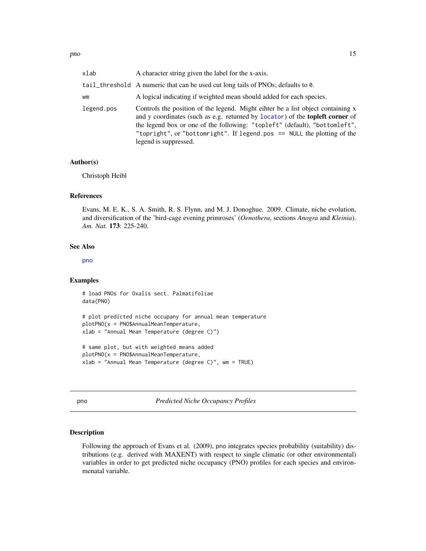<span id="page-14-0"></span>

| xlab       | A character string given the label for the x-axis.                                                                                                                                                                                                                                                                                                        |
|------------|-----------------------------------------------------------------------------------------------------------------------------------------------------------------------------------------------------------------------------------------------------------------------------------------------------------------------------------------------------------|
|            | tail_threshold A numeric that can be used cut long tails of PNOs; defaults to 0.                                                                                                                                                                                                                                                                          |
| wm         | A logical indicating if weighted mean should added for each species.                                                                                                                                                                                                                                                                                      |
| legend.pos | Controls the position of the legend. Might eihter be a list object containing x<br>and y coordinates (such as e.g. returned by locator) of the <b>topleft corner</b> of<br>the legend box or one of the following: "topleft" (default), "bottomleft",<br>"topright", or "bottomright". If legend.pos == NULL the plotting of the<br>legend is suppressed. |

## Author(s)

Christoph Heibl

#### References

Evans, M. E. K., S. A. Smith, R. S. Flynn, and M. J. Donoghue. 2009. Climate, niche evolution, and diversification of the 'bird-cage evening primroses' (*Oenothera*, sections *Anogra* and *Kleinia*). *Am. Nat.* 173: 225-240.

## See Also

[pno](#page-14-1)

#### Examples

# load PNOs for Oxalis sect. Palmatifoliae data(PNO) # plot predicted niche occupany for annual mean temperature plotPNO(x = PNO\$AnnualMeanTemperature, xlab = "Annual Mean Temperature (degree C)") # same plot, but with weighted means added plotPNO(x = PNO\$AnnualMeanTemperature,

xlab = "Annual Mean Temperature (degree C)", wm = TRUE)

<span id="page-14-1"></span>pno *Predicted Niche Occupancy Profiles*

## Description

Following the approach of Evans et al. (2009), pno integrates species probability (suitability) distributions (e.g. derived with MAXENT) with respect to single climatic (or other environmental) variables in order to get predicted niche occupancy (PNO) profiles for each species and environmenatal variable.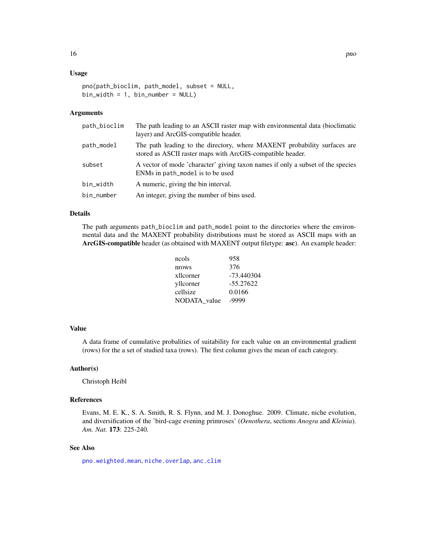## <span id="page-15-0"></span>Usage

```
pno(path_bioclim, path_model, subset = NULL,
bin\_width = 1, bin\_number = NULL
```
#### Arguments

| path_bioclim | The path leading to an ASCII raster map with environmental data (bioclimatic<br>layer) and ArcGIS-compatible header.                   |
|--------------|----------------------------------------------------------------------------------------------------------------------------------------|
| path_model   | The path leading to the directory, where MAXENT probability surfaces are<br>stored as ASCII raster maps with ArcGIS-compatible header. |
| subset       | A vector of mode 'character' giving taxon names if only a subset of the species<br>ENMs in path_model is to be used                    |
| bin_width    | A numeric, giving the bin interval.                                                                                                    |
| bin_number   | An integer, giving the number of bins used.                                                                                            |

## Details

The path arguments path\_bioclim and path\_model point to the directories where the environmental data and the MAXENT probability distributions must be stored as ASCII maps with an ArcGIS-compatible header (as obtained with MAXENT output filetype: asc). An example header:

| ncols        | 958         |
|--------------|-------------|
| nrows        | 376         |
| xllcorner    | -73.440304  |
| yllcorner    | $-55.27622$ |
| cellsize     | 0.0166      |
| NODATA value | -9999       |

## Value

A data frame of cumulative probalities of suitability for each value on an environmental gradient (rows) for the a set of studied taxa (rows). The first column gives the mean of each category.

#### Author(s)

Christoph Heibl

## References

Evans, M. E. K., S. A. Smith, R. S. Flynn, and M. J. Donoghue. 2009. Climate, niche evolution, and diversification of the 'bird-cage evening primroses' (*Oenothera*, sections *Anogra* and *Kleinia*). *Am. Nat.* 173: 225-240.

#### See Also

[pno.weighted.mean](#page-16-1), [niche.overlap](#page-9-1), [anc.clim](#page-4-1)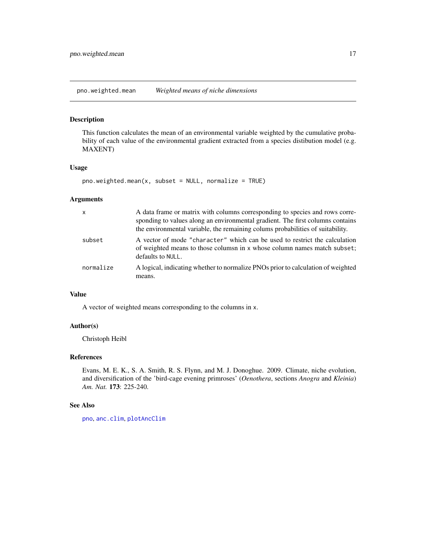<span id="page-16-1"></span><span id="page-16-0"></span>pno.weighted.mean *Weighted means of niche dimensions*

## Description

This function calculates the mean of an environmental variable weighted by the cumulative probability of each value of the environmental gradient extracted from a species distibution model (e.g. MAXENT)

## Usage

```
pno.weightharpoonup.mean(x, subset = NULL, normalize = TRUE)
```
## Arguments

| x         | A data frame or matrix with columns corresponding to species and rows corre-<br>sponding to values along an environmental gradient. The first columns contains<br>the environmental variable, the remaining colums probabilities of suitability. |
|-----------|--------------------------------------------------------------------------------------------------------------------------------------------------------------------------------------------------------------------------------------------------|
| subset    | A vector of mode "character" which can be used to restrict the calculation<br>of weighted means to those columns in x whose column names match subset;<br>defaults to NULL.                                                                      |
| normalize | A logical, indicating whether to normalize PNOs prior to calculation of weighted<br>means.                                                                                                                                                       |

## Value

A vector of weighted means corresponding to the columns in x.

## Author(s)

Christoph Heibl

#### References

Evans, M. E. K., S. A. Smith, R. S. Flynn, and M. J. Donoghue. 2009. Climate, niche evolution, and diversification of the 'bird-cage evening primroses' (*Oenothera*, sections *Anogra* and *Kleinia*) *Am. Nat.* 173: 225-240.

#### See Also

[pno](#page-14-1), [anc.clim](#page-4-1), [plotAncClim](#page-11-1)